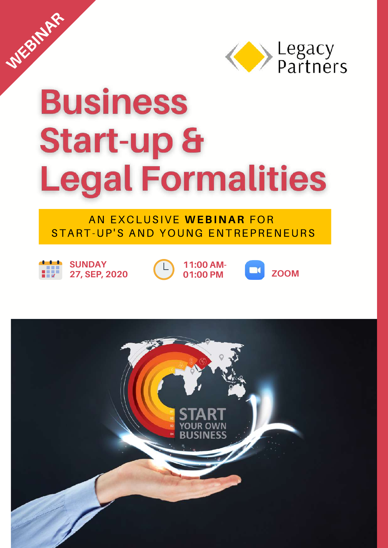

# **Business Start-up & Legal Formalities**

#### AN EXCLUSIVE **WEBINAR** FOR START-UP'S AND YOUNG ENTREPRENEURS



**WEBINAR** 

**SUNDAY 27, SEP, 2020**



**11:00 AM- 01:00 PM**



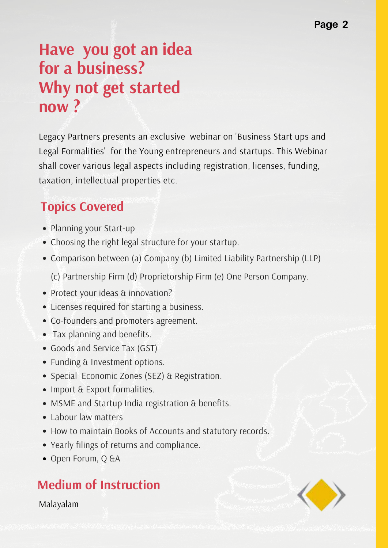# **Have you got an idea for a business? Why not get started now ?**

Legacy Partners presents an exclusive webinar on 'Business Start ups and Legal Formalities' for the Young entrepreneurs and startups. This Webinar shall cover various legal aspects including registration, licenses, funding, taxation, intellectual properties etc.

### **Topics Covered**

- Planning your Start-up
- Choosing the right legal structure for your startup.
- Comparison between (a) Company (b) Limited Liability Partnership (LLP)

(c) Partnership Firm (d) Proprietorship Firm (e) One Person Company.

- Protect your ideas & innovation?
- Licenses required for starting a business.
- Co-founders and promoters agreement.
- Tax planning and benefits.
- Goods and Service Tax (GST)
- Funding & Investment options.
- Special Economic Zones (SEZ) & Registration.
- Import & Export formalities.
- MSME and Startup India registration & benefits.
- Labour law matters
- How to maintain Books of Accounts and statutory records.
- Yearly filings of returns and compliance.
- Open Forum, Q &A

## **Medium of Instruction**

Malayalam